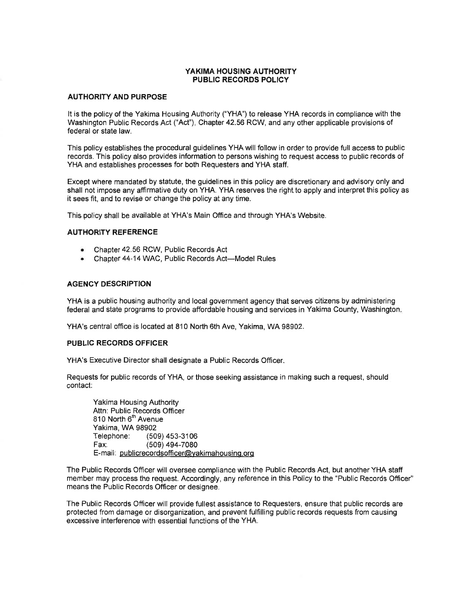## YAKIMA HOUSING AUTHORITY **PUBLIC RECORDS POLICY**

#### **AUTHORITY AND PURPOSE**

It is the policy of the Yakima Housing Authority ("YHA") to release YHA records in compliance with the Washington Public Records Act ("Act"), Chapter 42.56 RCW, and any other applicable provisions of federal or state law.

This policy establishes the procedural guidelines YHA will follow in order to provide full access to public records. This policy also provides information to persons wishing to request access to public records of YHA and establishes processes for both Requesters and YHA staff.

Except where mandated by statute, the quidelines in this policy are discretionary and advisory only and shall not impose any affirmative duty on YHA. YHA reserves the right to apply and interpret this policy as it sees fit, and to revise or change the policy at any time.

This policy shall be available at YHA's Main Office and through YHA's Website.

#### **AUTHORITY REFERENCE**

- Chapter 42.56 RCW, Public Records Act  $\bullet$
- Chapter 44-14 WAC, Public Records Act-Model Rules

#### **AGENCY DESCRIPTION**

YHA is a public housing authority and local government agency that serves citizens by administering federal and state programs to provide affordable housing and services in Yakima County, Washington.

YHA's central office is located at 810 North 6th Ave, Yakima, WA 98902.

#### **PUBLIC RECORDS OFFICER**

YHA's Executive Director shall designate a Public Records Officer.

Requests for public records of YHA, or those seeking assistance in making such a request, should contact:

Yakima Housing Authority Attn: Public Records Officer 810 North 6<sup>th</sup> Avenue Yakima, WA 98902 Telephone: (509) 453-3106 Fax: (509) 494-7080 E-mail: publicrecordsofficer@yakimahousing.org

The Public Records Officer will oversee compliance with the Public Records Act, but another YHA staff member may process the request. Accordingly, any reference in this Policy to the "Public Records Officer" means the Public Records Officer or designee.

The Public Records Officer will provide fullest assistance to Requesters, ensure that public records are protected from damage or disorganization, and prevent fulfilling public records requests from causing excessive interference with essential functions of the YHA.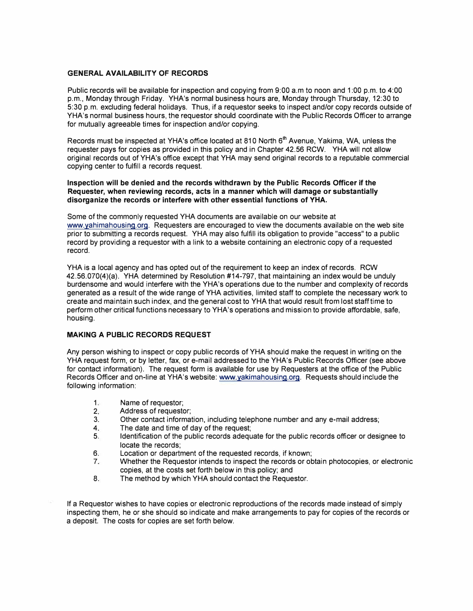## **GENERAL AVAILABILITY OF RECORDS**

Public records will be available for inspection and copying from 9:00 a.m to noon and 1 :00 p.m. to 4:00 p.m., Monday through Friday. YHA's normal business hours are, Monday through Thursday, 12:30 to 5:30 p.m. excluding federal holidays. Thus, if a requestor seeks to inspect and/or copy records outside of YHA's normal business hours, the requestor should coordinate with the Public Records Officer to arrange for mutually agreeable times for inspection and/or copying.

Records must be inspected at YHA's office located at 810 North 6<sup>th</sup> Avenue, Yakima, WA, unless the requester pays for copies as provided in this policy and in Chapter 42.56 RCW. YHA will not allow original records out of YHA's office except that YHA may send original records to a reputable commercial copying center to fulfill a records request.

#### **Inspection will be denied and the records withdrawn by the Public Records Officer if the Requester, when reviewing records, acts in a manner which will damage or substantially disorganize the records or interfere with other essential functions of YHA.**

Some of the commonly requested YHA documents are available on our website at www.yahimahousinq.org. Requesters are encouraged to view the documents available on the web site prior to submitting a records request. YHA may also fulfill its obligation to provide "access" to a public record by providing a requester with a link to a website containing an electronic copy of a requested record.

YHA is a local agency and has opted out of the requirement to keep an index of records. RCW 42.56.070(4)(a). YHA determined by Resolution #14-797, that maintaining an index would be unduly burdensome and would interfere with the YHA's operations due to the number and complexity of records generated as a result of the wide range of YHA activities, limited staff to complete the necessary work to create and maintain such index, and the general cost to YHA that would result from lost staff time to perform other critical functions necessary to YHA's operations and mission to provide affordable, safe, housing.

#### **MAKING A PUBLIC RECORDS REQUEST**

Any person wishing to inspect or copy public records of YHA should make the request in writing on the YHA request form, or by letter, fax, or e-mail addressed to the YHA's Public Records Officer (see above for contact information). The request form is available for use by Requesters at the office of the Public Records Officer and on-line at YHA's website: www.yakimahousing.org. Requests should include the following information:

- 1. Name of requestor;<br>2. Address of requestor
- 2. Address of requestor;<br>3. Other contact information
- 3. Other contact information, including telephone number and any e-mail address;<br>4. The date and time of day of the request:
- 4. The date and time of day of the request;<br>5. Identification of the public records adequ
- Identification of the public records adequate for the public records officer or designee to locate the records;
- 6. Location or department of the requested records, if known;
- 7. Whether the Requestor intends to inspect the records or obtain photocopies, or electronic copies, at the costs set forth below in this policy; and
- 8. The method by which YHA should contact the Requestor.

If a Requestor wishes to have copies or electronic reproductions of the records made instead of simply inspecting them, he or she should so indicate and make arrangements to pay for copies of the records or a deposit. The costs for copies are set forth below.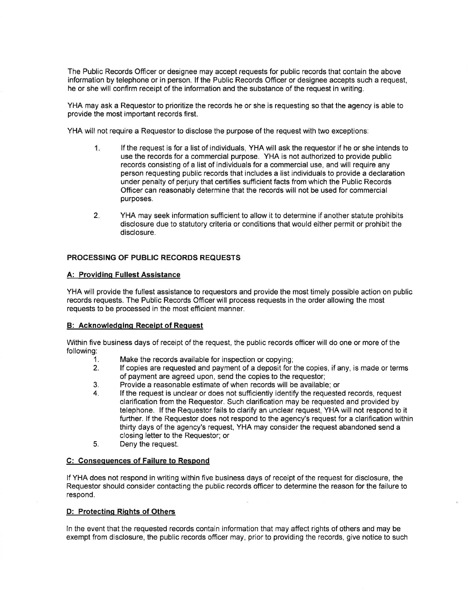The Public Records Officer or designee may accept requests for public records that contain the above information by telephone or in person. If the Public Records Officer or designee accepts such a request. he or she will confirm receipt of the information and the substance of the request in writing.

YHA may ask a Requestor to prioritize the records he or she is requesting so that the agency is able to provide the most important records first.

YHA will not require a Requestor to disclose the purpose of the request with two exceptions:

- 1. If the request is for a list of individuals, YHA will ask the requestor if he or she intends to use the records for a commercial purpose. YHA is not authorized to provide public records consisting of a list of individuals for a commercial use, and will require any person requesting public records that includes a list individuals to provide a declaration under penalty of periury that certifies sufficient facts from which the Public Records Officer can reasonably determine that the records will not be used for commercial purposes.
- $2.$ YHA may seek information sufficient to allow it to determine if another statute prohibits disclosure due to statutory criteria or conditions that would either permit or prohibit the disclosure.

# **PROCESSING OF PUBLIC RECORDS REQUESTS**

### **A: Providing Fullest Assistance**

YHA will provide the fullest assistance to requestors and provide the most timely possible action on public records requests. The Public Records Officer will process requests in the order allowing the most requests to be processed in the most efficient manner.

#### **B: Acknowledging Receipt of Request**

Within five business days of receipt of the request, the public records officer will do one or more of the following:

- $\mathbf{1}$ . Make the records available for inspection or copying;
- $2.$ If copies are requested and payment of a deposit for the copies, if any, is made or terms of payment are agreed upon, send the copies to the requestor;
- $3.$ Provide a reasonable estimate of when records will be available; or
- $4.$ If the request is unclear or does not sufficiently identify the requested records, request clarification from the Requestor. Such clarification may be requested and provided by telephone. If the Requestor fails to clarify an unclear request. YHA will not respond to it further. If the Requestor does not respond to the agency's request for a clarification within thirty days of the agency's request, YHA may consider the request abandoned send a closing letter to the Requestor; or
- Deny the request. 5.

#### C: Consequences of Failure to Respond

If YHA does not respond in writing within five business days of receipt of the request for disclosure, the Requestor should consider contacting the public records officer to determine the reason for the failure to respond.

# D: Protecting Rights of Others

In the event that the requested records contain information that may affect rights of others and may be exempt from disclosure, the public records officer may, prior to providing the records, give notice to such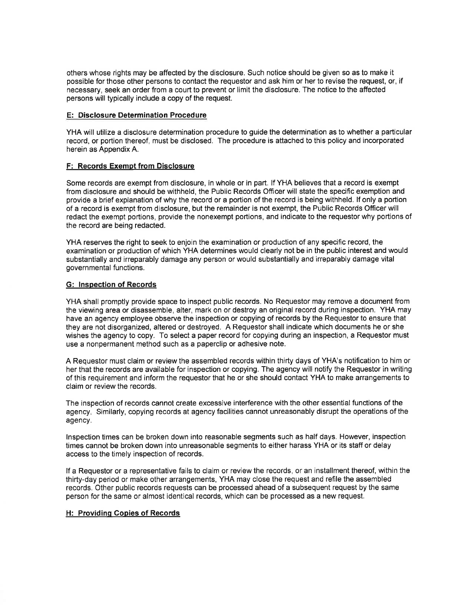others whose rights may be affected by the disclosure. Such notice should be given so as to make it possible for those other persons to contact the requestor and ask him or her to revise the request, or, if necessary, seek an order from a court to prevent or limit the disclosure. The notice to the affected persons will typically include a copy of the request.

## **E: Disclosure Determination Procedure**

YHA will utilize a disclosure determination procedure to guide the determination as to whether a particular record, or portion thereof, must be disclosed. The procedure is attached to this policy and incorporated herein as Appendix A.

# **F: Records Exempt from Disclosure**

Some records are exempt from disclosure, in whole or in part. If YHA believes that a record is exempt from disclosure and should be withheld, the Public Records Officer will state the specific exemption and provide a brief explanation of why the record or a portion of the record is being withheld. If only a portion of a record is exempt from disclosure, but the remainder is not exempt, the Public Records Officer will redact the exempt portions, provide the nonexempt portions, and indicate to the requestor why portions of the record are being redacted.

YHA reserves the right to seek to enjoin the examination or production of any specific record, the examination or production of which YHA determines would clearly not be in the public interest and would substantially and irreparably damage any person or would substantially and irreparably damage vital governmental functions.

### **G: Inspection of Records**

YHA shall promptly provide space to inspect public records. No Requestor may remove a document from the viewing area or disassemble, alter, mark on or destroy an original record during inspection. YHA may have an agency employee observe the inspection or copying of records by the Requestor to ensure that they are not disorganized, altered or destroyed. A Requestor shall indicate which documents he or she wishes the agency to copy. To select a paper record for copying during an inspection, a Requestor must use a nonpermanent method such as a paperclip or adhesive note.

A Requestor must claim or review the assembled records within thirty days of YHA's notification to him or her that the records are available for inspection or copying. The agency will notify the Requestor in writing of this requirement and inform the requestor that he or she should contact YHA to make arrangements to claim or review the records.

The inspection of records cannot create excessive interference with the other essential functions of the agency. Similarly, copying records at agency facilities cannot unreasonably disrupt the operations of the agency.

Inspection times can be broken down into reasonable segments such as half days. However, inspection times cannot be broken down into unreasonable segments to either harass YHA or its staff or delay access to the timely inspection of records.

If a Requestor or a representative fails to claim or review the records, or an installment thereof, within the thirty-day period or make other arrangements, YHA may close the request and refile the assembled records. Other public records requests can be processed ahead of a subsequent request by the same person for the same or almost identical records, which can be processed as a new request.

# H: Providing Copies of Records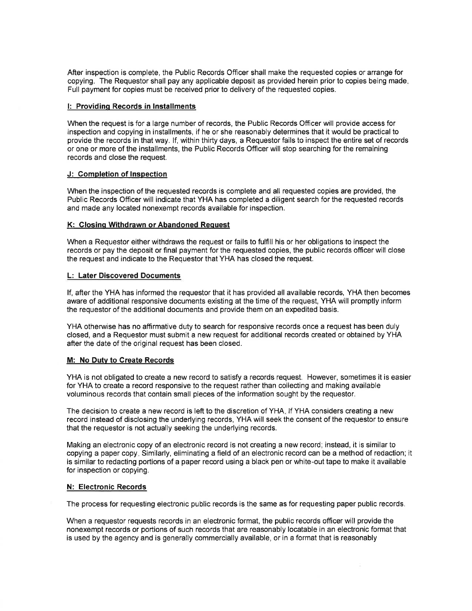After inspection is complete, the Public Records Officer shall make the requested copies or arrange for copying. The Requestor shall pay any applicable deposit as provided herein prior to copies being made. Full payment for copies must be received prior to delivery of the requested copies.

## I: Providing Records in Installments

When the request is for a large number of records, the Public Records Officer will provide access for inspection and copying in installments, if he or she reasonably determines that it would be practical to provide the records in that way. If, within thirty days, a Requestor fails to inspect the entire set of records or one or more of the installments, the Public Records Officer will stop searching for the remaining records and close the request.

## J: Completion of Inspection

When the inspection of the requested records is complete and all requested copies are provided, the Public Records Officer will indicate that YHA has completed a diligent search for the requested records and made any located nonexempt records available for inspection.

# K: Closing Withdrawn or Abandoned Request

When a Requestor either withdraws the request or fails to fulfill his or her obligations to inspect the records or pay the deposit or final payment for the requested copies, the public records officer will close the request and indicate to the Requestor that YHA has closed the request.

## **L: Later Discovered Documents**

If, after the YHA has informed the requestor that it has provided all available records, YHA then becomes aware of additional responsive documents existing at the time of the request, YHA will promptly inform the requestor of the additional documents and provide them on an expedited basis.

YHA otherwise has no affirmative duty to search for responsive records once a request has been duly closed, and a Requestor must submit a new request for additional records created or obtained by YHA after the date of the original request has been closed.

#### M: No Duty to Create Records

YHA is not obligated to create a new record to satisfy a records request. However, sometimes it is easier for YHA to create a record responsive to the request rather than collecting and making available voluminous records that contain small pieces of the information sought by the requestor.

The decision to create a new record is left to the discretion of YHA. If YHA considers creating a new record instead of disclosing the underlying records, YHA will seek the consent of the requestor to ensure that the requestor is not actually seeking the underlying records.

Making an electronic copy of an electronic record is not creating a new record; instead, it is similar to copying a paper copy. Similarly, eliminating a field of an electronic record can be a method of redaction; it is similar to redacting portions of a paper record using a black pen or white-out tape to make it available for inspection or copying.

#### N: Electronic Records

The process for requesting electronic public records is the same as for requesting paper public records.

When a requestor requests records in an electronic format, the public records officer will provide the nonexempt records or portions of such records that are reasonably locatable in an electronic format that is used by the agency and is generally commercially available, or in a format that is reasonably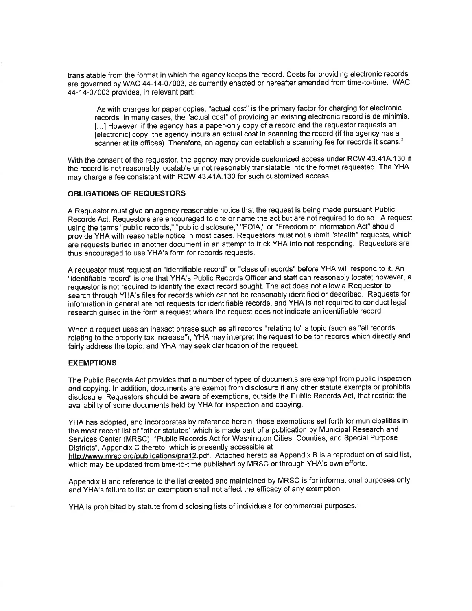translatable from the format in which the agency keeps the record. Costs for providing electronic records are governed by WAC 44-14-07003, as currently enacted or hereafter amended from time-to-time. WAC 44-14-07003 provides, in relevant part:

"As with charges for paper copies, "actual cost" is the primary factor for charging for electronic records. In many cases, the "actual cost" of providing an existing electronic record is de minimis. [...] However, if the agency has a paper-only copy of a record and the requestor requests an felectronic] copy, the agency incurs an actual cost in scanning the record (if the agency has a scanner at its offices). Therefore, an agency can establish a scanning fee for records it scans."

With the consent of the requestor, the agency may provide customized access under RCW 43.41A.130 if the record is not reasonably locatable or not reasonably translatable into the format requested. The YHA may charge a fee consistent with RCW 43.41A.130 for such customized access.

#### **OBLIGATIONS OF REQUESTORS**

A Requestor must give an agency reasonable notice that the request is being made pursuant Public Records Act. Requestors are encouraged to cite or name the act but are not required to do so. A request using the terms "public records," "public disclosure," "FOIA," or "Freedom of Information Act" should provide YHA with reasonable notice in most cases. Requestors must not submit "stealth" requests, which are requests buried in another document in an attempt to trick YHA into not responding. Requestors are thus encouraged to use YHA's form for records requests.

A requestor must request an "identifiable record" or "class of records" before YHA will respond to it. An "identifiable record" is one that YHA's Public Records Officer and staff can reasonably locate; however, a requestor is not required to identify the exact record sought. The act does not allow a Requestor to search through YHA's files for records which cannot be reasonably identified or described. Requests for information in general are not requests for identifiable records, and YHA is not required to conduct legal research quised in the form a request where the request does not indicate an identifiable record.

When a request uses an inexact phrase such as all records "relating to" a topic (such as "all records relating to the property tax increase"). YHA may interpret the request to be for records which directly and fairly address the topic, and YHA may seek clarification of the request.

#### **EXEMPTIONS**

The Public Records Act provides that a number of types of documents are exempt from public inspection and copying. In addition, documents are exempt from disclosure if any other statute exempts or prohibits disclosure. Requestors should be aware of exemptions, outside the Public Records Act, that restrict the availability of some documents held by YHA for inspection and copying.

YHA has adopted, and incorporates by reference herein, those exemptions set forth for municipalities in the most recent list of "other statutes" which is made part of a publication by Municipal Research and Services Center (MRSC), "Public Records Act for Washington Cities, Counties, and Special Purpose Districts", Appendix C thereto, which is presently accessible at

http://www.mrsc.org/publications/pra12.pdf. Attached hereto as Appendix B is a reproduction of said list, which may be updated from time-to-time published by MRSC or through YHA's own efforts.

Appendix B and reference to the list created and maintained by MRSC is for informational purposes only and YHA's failure to list an exemption shall not affect the efficacy of any exemption.

YHA is prohibited by statute from disclosing lists of individuals for commercial purposes.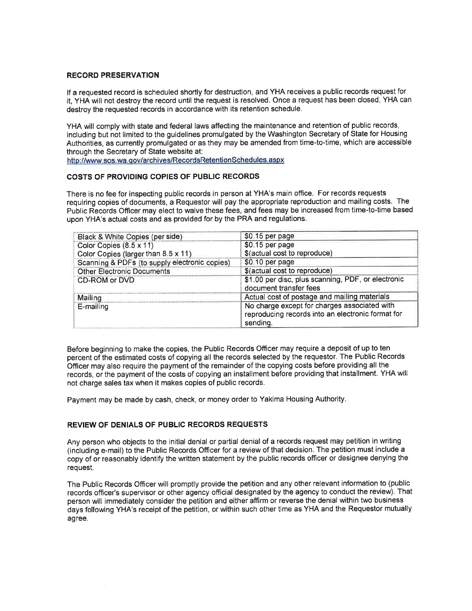#### **RECORD PRESERVATION**

If a requested record is scheduled shortly for destruction, and YHA receives a public records request for it. YHA will not destroy the record until the request is resolved. Once a request has been closed, YHA can destroy the requested records in accordance with its retention schedule.

YHA will comply with state and federal laws affecting the maintenance and retention of public records, including but not limited to the guidelines promulgated by the Washington Secretary of State for Housing Authorities, as currently promulgated or as they may be amended from time-to-time, which are accessible through the Secretary of State website at:

http://www.sos.wa.gov/archives/RecordsRetentionSchedules.aspx

# COSTS OF PROVIDING COPIES OF PUBLIC RECORDS

There is no fee for inspecting public records in person at YHA's main office. For records requests requiring copies of documents, a Requestor will pay the appropriate reproduction and mailing costs. The Public Records Officer may elect to waive these fees, and fees may be increased from time-to-time based upon YHA's actual costs and as provided for by the PRA and regulations.

| Black & White Copies (per side)               | \$0.15 per page                                                                                               |
|-----------------------------------------------|---------------------------------------------------------------------------------------------------------------|
| Color Copies $(8.5 \times 11)$                | \$0.15 per page                                                                                               |
| Color Copies (larger than 8.5 x 11)           | \$(actual cost to reproduce)                                                                                  |
| Scanning & PDFs (to supply electronic copies) | \$0.10 per page                                                                                               |
| <b>Other Electronic Documents</b>             | \$(actual cost to reproduce)                                                                                  |
| CD-ROM or DVD                                 | \$1.00 per disc, plus scanning, PDF, or electronic<br>document transfer fees                                  |
| Mailing                                       | Actual cost of postage and mailing materials                                                                  |
| E-mailing                                     | No charge except for charges associated with<br>reproducing records into an electronic format for<br>sending. |

Before beginning to make the copies, the Public Records Officer may require a deposit of up to ten percent of the estimated costs of copying all the records selected by the requestor. The Public Records Officer may also require the payment of the remainder of the copying costs before providing all the records, or the payment of the costs of copying an installment before providing that installment. YHA will not charge sales tax when it makes copies of public records.

Payment may be made by cash, check, or money order to Yakima Housing Authority.

# REVIEW OF DENIALS OF PUBLIC RECORDS REQUESTS

Any person who objects to the initial denial or partial denial of a records request may petition in writing (including e-mail) to the Public Records Officer for a review of that decision. The petition must include a copy of or reasonably identify the written statement by the public records officer or designee denying the request.

The Public Records Officer will promptly provide the petition and any other relevant information to (public records officer's supervisor or other agency official designated by the agency to conduct the review). That person will immediately consider the petition and either affirm or reverse the denial within two business days following YHA's receipt of the petition, or within such other time as YHA and the Requestor mutually agree.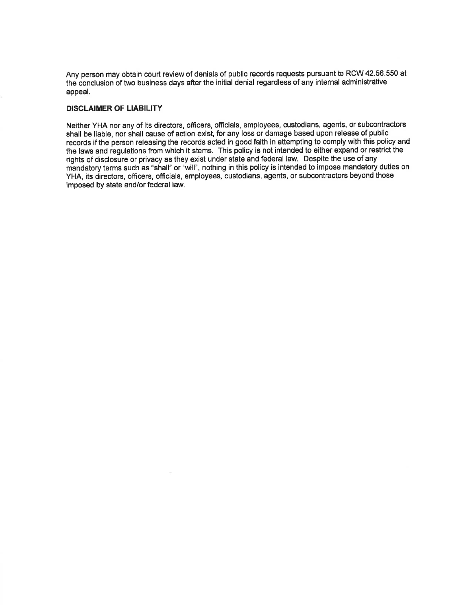Any person may obtain court review of denials of public records requests pursuant to RCW 42.56.550 at the conclusion of two business days after the initial denial regardless of any internal administrative appeal.

#### **DISCLAIMER OF LIABILITY**

Neither YHA nor any of its directors, officers, officials, employees, custodians, agents, or subcontractors shall be liable, nor shall cause of action exist, for any loss or damage based upon release of public records if the person releasing the records acted in good faith in attempting to comply with this policy and the laws and regulations from which it stems. This policy is not intended to either expand or restrict the rights of disclosure or privacy as they exist under state and federal law. Despite the use of any mandatory terms such as "shall" or "will", nothing in this policy is intended to impose mandatory duties on YHA, its directors, officers, officials, employees, custodians, agents, or subcontractors beyond those imposed by state and/or federal law.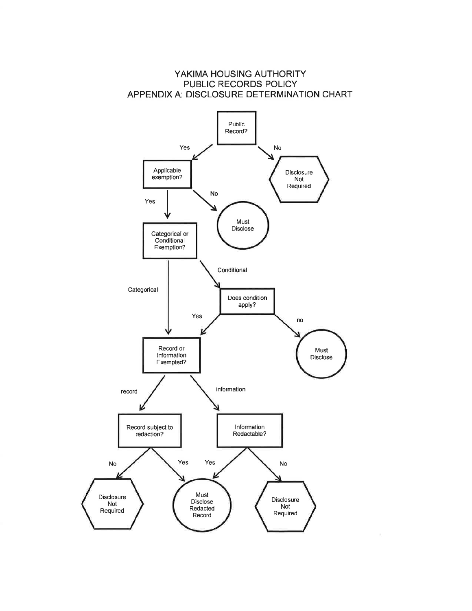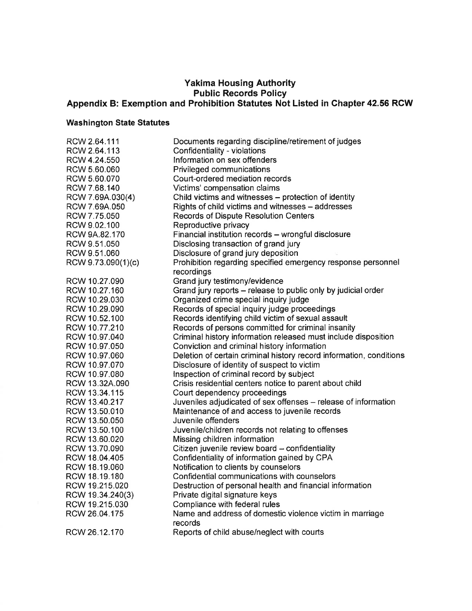# Yakima Housing Authority<br>Public Records Policy<br>Appendix B: Exemption and Prohibition Statutes Not Listed in Chapter 42.56 RCW

# **Washington State Statutes**

| RCW 2.64.111       | Documents regarding discipline/retirement of judges                 |
|--------------------|---------------------------------------------------------------------|
| RCW 2.64.113       | Confidentiality - violations                                        |
| RCW 4.24.550       | Information on sex offenders                                        |
| RCW 5.60.060       | Privileged communications                                           |
| RCW 5.60.070       | Court-ordered mediation records                                     |
| RCW 7.68.140       | Victims' compensation claims                                        |
| RCW 7.69A.030(4)   | Child victims and witnesses - protection of identity                |
| RCW 7.69A.050      | Rights of child victims and witnesses - addresses                   |
| RCW 7.75.050       | <b>Records of Dispute Resolution Centers</b>                        |
| RCW 9.02.100       | Reproductive privacy                                                |
| RCW 9A.82.170      | Financial institution records - wrongful disclosure                 |
| RCW 9.51.050       | Disclosing transaction of grand jury                                |
| RCW 9.51.060       | Disclosure of grand jury deposition                                 |
| RCW 9.73.090(1)(c) | Prohibition regarding specified emergency response personnel        |
|                    | recordings                                                          |
| RCW 10.27.090      | Grand jury testimony/evidence                                       |
| RCW 10.27.160      | Grand jury reports - release to public only by judicial order       |
| RCW 10.29.030      | Organized crime special inquiry judge                               |
| RCW 10.29.090      | Records of special inquiry judge proceedings                        |
| RCW 10.52.100      | Records identifying child victim of sexual assault                  |
| RCW 10.77.210      | Records of persons committed for criminal insanity                  |
| RCW 10.97.040      | Criminal history information released must include disposition      |
| RCW 10.97.050      | Conviction and criminal history information                         |
| RCW 10.97.060      | Deletion of certain criminal history record information, conditions |
| RCW 10.97.070      | Disclosure of identity of suspect to victim                         |
| RCW 10.97.080      | Inspection of criminal record by subject                            |
| RCW 13.32A.090     | Crisis residential centers notice to parent about child             |
| RCW 13.34.115      | Court dependency proceedings                                        |
| RCW 13.40.217      | Juveniles adjudicated of sex offenses - release of information      |
| RCW 13.50.010      | Maintenance of and access to juvenile records                       |
| RCW 13.50.050      | Juvenile offenders                                                  |
| RCW 13.50.100      | Juvenile/children records not relating to offenses                  |
| RCW 13.60.020      | Missing children information                                        |
| RCW 13.70.090      | Citizen juvenile review board - confidentiality                     |
| RCW 18.04.405      | Confidentiality of information gained by CPA                        |
| RCW 18.19.060      | Notification to clients by counselors                               |
| RCW 18.19.180      | Confidential communications with counselors                         |
| RCW 19.215.020     | Destruction of personal health and financial information            |
| RCW 19.34.240(3)   | Private digital signature keys                                      |
| RCW 19.215.030     | Compliance with federal rules                                       |
| RCW 26.04.175      | Name and address of domestic violence victim in marriage            |
|                    | records                                                             |
| RCW 26.12.170      | Reports of child abuse/neglect with courts                          |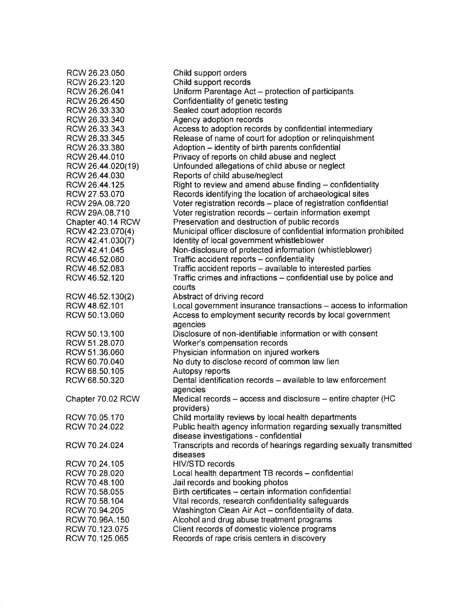| RCW 26.23.050     | Child support orders                                                |
|-------------------|---------------------------------------------------------------------|
| RCW 26.23.120     | Child support records                                               |
| RCW 26.26.041     | Uniform Parentage Act - protection of participants                  |
| RCW 26.26.450     | Confidentiality of genetic testing                                  |
| RCW 26.33.330     | Sealed court adoption records                                       |
| RCW 26.33.340     | Agency adoption records                                             |
| RCW 26.33.343     | Access to adoption records by confidential intermediary             |
| RCW 26.33.345     | Release of name of court for adoption or relinquishment             |
| RCW 26.33.380     | Adoption - identity of birth parents confidential                   |
| RCW 26.44.010     | Privacy of reports on child abuse and neglect                       |
| RCW 26.44.020(19) | Unfounded allegations of child abuse or neglect                     |
| RCW 26.44.030     | Reports of child abuse/neglect                                      |
| RCW 26.44.125     | Right to review and amend abuse finding - confidentiality           |
| RCW 27.53.070     |                                                                     |
|                   | Records identifying the location of archaeological sites            |
| RCW 29A.08.720    | Voter registration records - place of registration confidential     |
| RCW 29A.08.710    | Voter registration records - certain information exempt             |
| Chapter 40.14 RCW | Preservation and destruction of public records                      |
| RCW 42.23.070(4)  | Municipal officer disclosure of confidential information prohibited |
| RCW 42.41.030(7)  | Identity of local government whistleblower                          |
| RCW 42.41.045     | Non-disclosure of protected information (whistleblower)             |
| RCW 46.52.080     | Traffic accident reports - confidentiality                          |
| RCW 46.52.083     | Traffic accident reports - available to interested parties          |
| RCW 46.52.120     | Traffic crimes and infractions - confidential use by police and     |
|                   | courts                                                              |
| RCW 46.52.130(2)  | Abstract of driving record                                          |
| RCW 48.62.101     | Local government insurance transactions - access to information     |
| RCW 50.13.060     | Access to employment security records by local government           |
|                   | agencies                                                            |
| RCW 50.13.100     | Disclosure of non-identifiable information or with consent          |
| RCW 51.28.070     | Worker's compensation records                                       |
| RCW 51.36.060     | Physician information on injured workers                            |
| RCW 60.70.040     | No duty to disclose record of common law lien                       |
| RCW 68.50.105     | Autopsy reports                                                     |
| RCW 68.50.320     | Dental identification records - available to law enforcement        |
|                   | agencies                                                            |
| Chapter 70.02 RCW | Medical records – access and disclosure – entire chapter (HC        |
|                   | providers)                                                          |
| RCW 70.05.170     | Child mortality reviews by local health departments                 |
| RCW 70.24.022     | Public health agency information regarding sexually transmitted     |
|                   | disease investigations - confidential                               |
| RCW 70.24.024     | Transcripts and records of hearings regarding sexually transmitted  |
|                   | diseases                                                            |
| RCW 70.24.105     | HIV/STD records                                                     |
| RCW 70.28.020     | Local health department TB records - confidential                   |
| RCW 70.48.100     | Jail records and booking photos                                     |
| RCW 70.58.055     | Birth certificates - certain information confidential               |
| RCW 70.58.104     | Vital records, research confidentiality safeguards                  |
| RCW 70.94.205     | Washington Clean Air Act - confidentiality of data.                 |
| RCW 70.96A.150    | Alcohol and drug abuse treatment programs                           |
| RCW 70.123.075    | Client records of domestic violence programs                        |
| RCW 70.125.065    |                                                                     |
|                   | Records of rape crisis centers in discovery                         |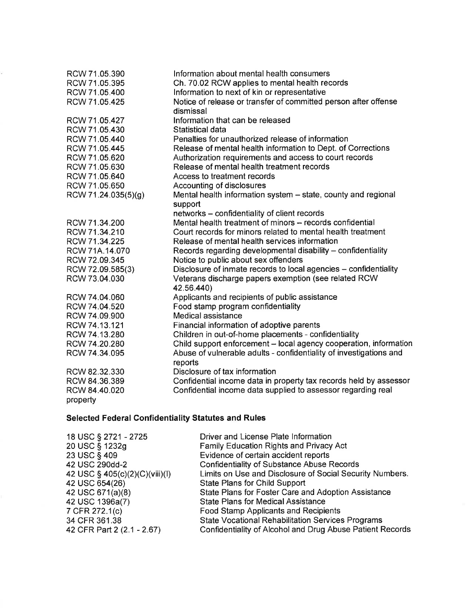| Ch. 70.02 RCW applies to mental health records<br>RCW 71.05.395<br>Information to next of kin or representative<br>RCW 71.05.400 |  |
|----------------------------------------------------------------------------------------------------------------------------------|--|
|                                                                                                                                  |  |
|                                                                                                                                  |  |
| Notice of release or transfer of committed person after offense<br>RCW 71.05.425                                                 |  |
| dismissal                                                                                                                        |  |
| Information that can be released<br>RCW 71.05.427                                                                                |  |
| RCW 71.05.430<br>Statistical data                                                                                                |  |
| Penalties for unauthorized release of information<br>RCW 71.05.440                                                               |  |
| RCW 71.05.445<br>Release of mental health information to Dept. of Corrections                                                    |  |
| Authorization requirements and access to court records<br>RCW 71.05.620                                                          |  |
| Release of mental health treatment records<br>RCW 71.05.630                                                                      |  |
| RCW 71.05.640<br>Access to treatment records                                                                                     |  |
| RCW 71.05.650<br>Accounting of disclosures                                                                                       |  |
| Mental health information system - state, county and regional<br>RCW 71.24.035(5)(g)                                             |  |
| support                                                                                                                          |  |
| networks - confidentiality of client records                                                                                     |  |
| Mental health treatment of minors - records confidential<br>RCW 71.34.200                                                        |  |
| Court records for minors related to mental health treatment<br>RCW 71.34.210                                                     |  |
| RCW 71.34.225<br>Release of mental health services information                                                                   |  |
| Records regarding developmental disability - confidentiality<br>RCW 71A.14.070                                                   |  |
| RCW 72.09.345<br>Notice to public about sex offenders                                                                            |  |
| Disclosure of inmate records to local agencies - confidentiality<br>RCW 72.09.585(3)                                             |  |
| RCW 73.04.030<br>Veterans discharge papers exemption (see related RCW                                                            |  |
| 42.56.440)                                                                                                                       |  |
| Applicants and recipients of public assistance<br>RCW 74.04.060                                                                  |  |
| Food stamp program confidentiality<br>RCW 74.04.520                                                                              |  |
| Medical assistance<br>RCW 74.09.900                                                                                              |  |
| RCW 74.13.121<br>Financial information of adoptive parents                                                                       |  |
| Children in out-of-home placements - confidentiality<br>RCW 74.13.280                                                            |  |
| Child support enforcement - local agency cooperation, information<br>RCW 74.20.280                                               |  |
| Abuse of vulnerable adults - confidentiality of investigations and<br>RCW 74.34.095                                              |  |
| reports                                                                                                                          |  |
| Disclosure of tax information<br>RCW 82.32.330                                                                                   |  |
| Confidential income data in property tax records held by assessor<br>RCW 84.36.389                                               |  |
| Confidential income data supplied to assessor regarding real<br>RCW 84.40.020                                                    |  |
| property                                                                                                                         |  |

# Selected Federal Confidentiality Statutes and Rules

ŝ,

| 18 USC § 2721 - 2725           | Driver and License Plate Information                      |
|--------------------------------|-----------------------------------------------------------|
| 20 USC § 1232g                 | Family Education Rights and Privacy Act                   |
| 23 USC § 409                   | Evidence of certain accident reports                      |
| 42 USC 290dd-2                 | <b>Confidentiality of Substance Abuse Records</b>         |
| 42 USC § 405(c)(2)(C)(viii)(l) | Limits on Use and Disclosure of Social Security Numbers.  |
| 42 USC 654(26)                 | <b>State Plans for Child Support</b>                      |
| 42 USC 671(a)(8)               | State Plans for Foster Care and Adoption Assistance       |
| 42 USC 1396a(7)                | <b>State Plans for Medical Assistance</b>                 |
| 7 CFR 272.1(c)                 | <b>Food Stamp Applicants and Recipients</b>               |
| 34 CFR 361.38                  | <b>State Vocational Rehabilitation Services Programs</b>  |
| 42 CFR Part 2 (2.1 - 2.67)     | Confidentiality of Alcohol and Drug Abuse Patient Records |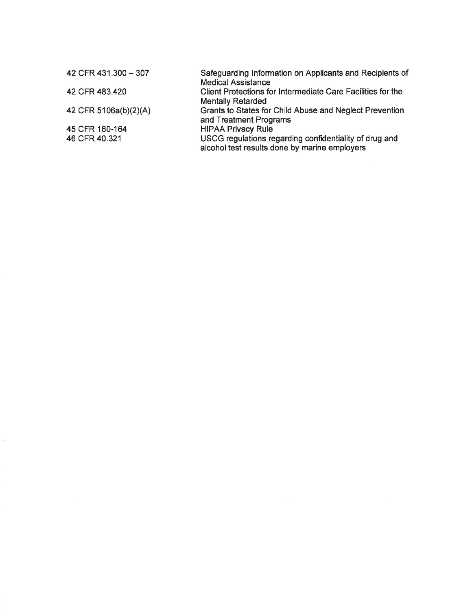| 42 CFR 431.300 - 307  | Safeguarding Information on Applicants and Recipients of    |
|-----------------------|-------------------------------------------------------------|
|                       | <b>Medical Assistance</b>                                   |
| 42 CFR 483.420        | Client Protections for Intermediate Care Facilities for the |
|                       | <b>Mentally Retarded</b>                                    |
| 42 CFR 5106a(b)(2)(A) | Grants to States for Child Abuse and Neglect Prevention     |
|                       | and Treatment Programs                                      |
| 45 CFR 160-164        | <b>HIPAA Privacy Rule</b>                                   |
| 46 CFR 40.321         | USCG regulations regarding confidentiality of drug and      |
|                       | alcohol test results done by marine employers               |
|                       |                                                             |

 $\tilde{\theta}$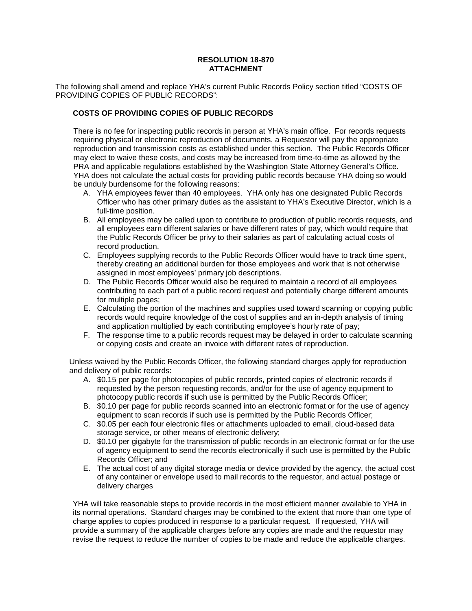# **RESOLUTION 18-870 ATTACHMENT**

The following shall amend and replace YHA's current Public Records Policy section titled "COSTS OF PROVIDING COPIES OF PUBLIC RECORDS":

# **COSTS OF PROVIDING COPIES OF PUBLIC RECORDS**

There is no fee for inspecting public records in person at YHA's main office. For records requests requiring physical or electronic reproduction of documents, a Requestor will pay the appropriate reproduction and transmission costs as established under this section. The Public Records Officer may elect to waive these costs, and costs may be increased from time-to-time as allowed by the PRA and applicable regulations established by the Washington State Attorney General's Office. YHA does not calculate the actual costs for providing public records because YHA doing so would be unduly burdensome for the following reasons:

- A. YHA employees fewer than 40 employees. YHA only has one designated Public Records Officer who has other primary duties as the assistant to YHA's Executive Director, which is a full-time position.
- B. All employees may be called upon to contribute to production of public records requests, and all employees earn different salaries or have different rates of pay, which would require that the Public Records Officer be privy to their salaries as part of calculating actual costs of record production.
- C. Employees supplying records to the Public Records Officer would have to track time spent, thereby creating an additional burden for those employees and work that is not otherwise assigned in most employees' primary job descriptions.
- D. The Public Records Officer would also be required to maintain a record of all employees contributing to each part of a public record request and potentially charge different amounts for multiple pages;
- E. Calculating the portion of the machines and supplies used toward scanning or copying public records would require knowledge of the cost of supplies and an in-depth analysis of timing and application multiplied by each contributing employee's hourly rate of pay;
- F. The response time to a public records request may be delayed in order to calculate scanning or copying costs and create an invoice with different rates of reproduction.

Unless waived by the Public Records Officer, the following standard charges apply for reproduction and delivery of public records:

- A. \$0.15 per page for photocopies of public records, printed copies of electronic records if requested by the person requesting records, and/or for the use of agency equipment to photocopy public records if such use is permitted by the Public Records Officer;
- B. \$0.10 per page for public records scanned into an electronic format or for the use of agency equipment to scan records if such use is permitted by the Public Records Officer;
- C. \$0.05 per each four electronic files or attachments uploaded to email, cloud-based data storage service, or other means of electronic delivery;
- D. \$0.10 per gigabyte for the transmission of public records in an electronic format or for the use of agency equipment to send the records electronically if such use is permitted by the Public Records Officer; and
- E. The actual cost of any digital storage media or device provided by the agency, the actual cost of any container or envelope used to mail records to the requestor, and actual postage or delivery charges

YHA will take reasonable steps to provide records in the most efficient manner available to YHA in its normal operations. Standard charges may be combined to the extent that more than one type of charge applies to copies produced in response to a particular request. If requested, YHA will provide a summary of the applicable charges before any copies are made and the requestor may revise the request to reduce the number of copies to be made and reduce the applicable charges.